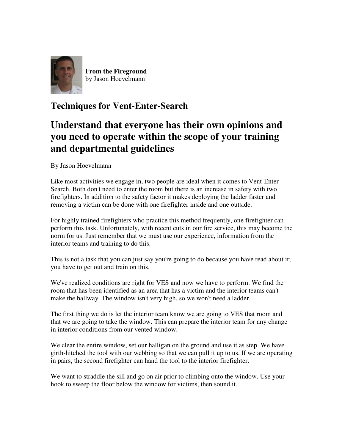

**From the Fireground** by Jason Hoevelmann

## **Techniques for Vent-Enter-Search**

## **Understand that everyone has their own opinions and you need to operate within the scope of your training and departmental guidelines**

By Jason Hoevelmann

Like most activities we engage in, two people are ideal when it comes to Vent-Enter-Search. Both don't need to enter the room but there is an increase in safety with two firefighters. In addition to the safety factor it makes deploying the ladder faster and removing a victim can be done with one firefighter inside and one outside.

For highly trained firefighters who practice this method frequently, one firefighter can perform this task. Unfortunately, with recent cuts in our fire service, this may become the norm for us. Just remember that we must use our experience, information from the interior teams and training to do this.

This is not a task that you can just say you're going to do because you have read about it; you have to get out and train on this.

We've realized conditions are right for VES and now we have to perform. We find the room that has been identified as an area that has a victim and the interior teams can't make the hallway. The window isn't very high, so we won't need a ladder.

The first thing we do is let the interior team know we are going to VES that room and that we are going to take the window. This can prepare the interior team for any change in interior conditions from our vented window.

We clear the entire window, set our halligan on the ground and use it as step. We have girth-hitched the tool with our webbing so that we can pull it up to us. If we are operating in pairs, the second firefighter can hand the tool to the interior firefighter.

We want to straddle the sill and go on air prior to climbing onto the window. Use your hook to sweep the floor below the window for victims, then sound it.